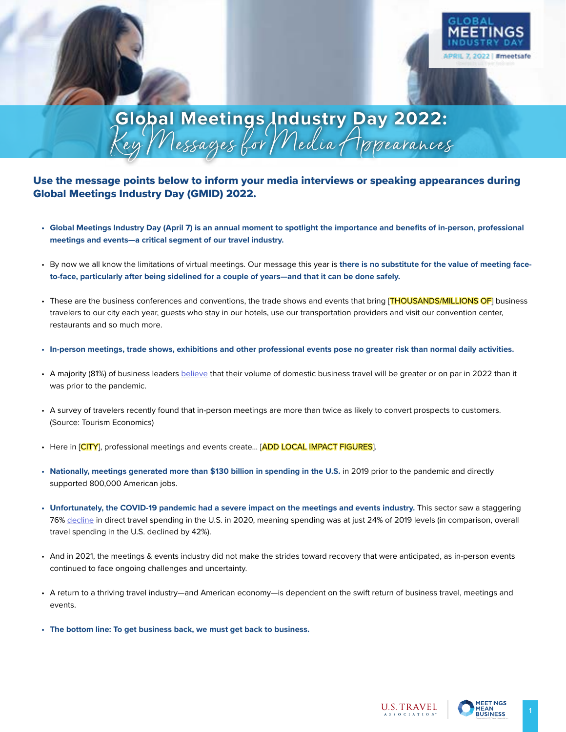

# **Global Meetings Industry Day 2022:** Key Messages for Media Appearances

## Use the message points below to inform your media interviews or speaking appearances during Global Meetings Industry Day (GMID) 2022.

- **• Global Meetings Industry Day (April 7) is an annual moment to spotlight the importance and benefits of in-person, professional meetings and events—a critical segment of our travel industry.**
- By now we all know the limitations of virtual meetings. Our message this year is **there is no substitute for the value of meeting faceto-face, particularly after being sidelined for a couple of years—and that it can be done safely.**
- These are the business conferences and conventions, the trade shows and events that bring [THOUSANDS/MILLIONS OF] business travelers to our city each year, guests who stay in our hotels, use our transportation providers and visit our convention center, restaurants and so much more.
- **• In-person meetings, trade shows, exhibitions and other professional events pose no greater risk than normal daily activities.**
- A majority (81%) of business leaders [believe](https://www.gbta.org/blog/from-setback-to-surge-business-travel-expected-to-fully-recover-by-2024/) that their volume of domestic business travel will be greater or on par in 2022 than it was prior to the pandemic.
- A survey of travelers recently found that in-person meetings are more than twice as likely to convert prospects to customers. (Source: Tourism Economics)
- Here in [CITY], professional meetings and events create... [ADD LOCAL IMPACT FIGURES].
- **• Nationally, meetings generated more than \$130 billion in spending in the U.S.** in 2019 prior to the pandemic and directly supported 800,000 American jobs.
- **• Unfortunately, the COVID-19 pandemic had a severe impact on the meetings and events industry.** This sector saw a staggering 76% [decline](https://www.ustravel.org/system/files/media_root/document/Research_Fact-Sheet_Industry-Table.pdf) in direct travel spending in the U.S. in 2020, meaning spending was at just 24% of 2019 levels (in comparison, overall travel spending in the U.S. declined by 42%).
- And in 2021, the meetings & events industry did not make the strides toward recovery that were anticipated, as in-person events continued to face ongoing challenges and uncertainty.
- A return to a thriving travel industry—and American economy—is dependent on the swift return of business travel, meetings and events.
- **• The bottom line: To get business back, we must get back to business.**

**U.S. TRAVEL** 

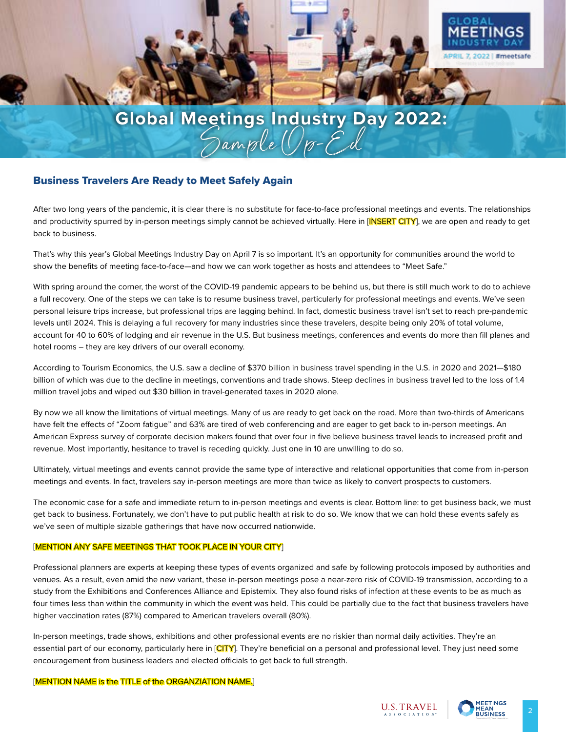

# **Global Meetings Industry Day 2022:** Sample Op-Ed

## Business Travelers Are Ready to Meet Safely Again

After two long years of the pandemic, it is clear there is no substitute for face-to-face professional meetings and events. The relationships and productivity spurred by in-person meetings simply cannot be achieved virtually. Here in [INSERT CITY], we are open and ready to get back to business.

That's why this year's Global Meetings Industry Day on April 7 is so important. It's an opportunity for communities around the world to show the benefits of meeting face-to-face—and how we can work together as hosts and attendees to "Meet Safe."

With spring around the corner, the worst of the COVID-19 pandemic appears to be behind us, but there is still much work to do to achieve a full recovery. One of the steps we can take is to resume business travel, particularly for professional meetings and events. We've seen personal leisure trips increase, but professional trips are lagging behind. In fact, domestic business travel isn't set to reach pre-pandemic levels until 2024. This is delaying a full recovery for many industries since these travelers, despite being only 20% of total volume, account for 40 to 60% of lodging and air revenue in the U.S. But business meetings, conferences and events do more than fill planes and hotel rooms – they are key drivers of our overall economy.

According to Tourism Economics, the U.S. saw a decline of \$370 billion in business travel spending in the U.S. in 2020 and 2021—\$180 billion of which was due to the decline in meetings, conventions and trade shows. Steep declines in business travel led to the loss of 1.4 million travel jobs and wiped out \$30 billion in travel-generated taxes in 2020 alone.

By now we all know the limitations of virtual meetings. Many of us are ready to get back on the road. More than two-thirds of Americans have felt the effects of "Zoom fatigue" and 63% are tired of web conferencing and are eager to get back to in-person meetings. An American Express survey of corporate decision makers found that over four in five believe business travel leads to increased profit and revenue. Most importantly, hesitance to travel is receding quickly. Just one in 10 are unwilling to do so.

Ultimately, virtual meetings and events cannot provide the same type of interactive and relational opportunities that come from in-person meetings and events. In fact, travelers say in-person meetings are more than twice as likely to convert prospects to customers.

The economic case for a safe and immediate return to in-person meetings and events is clear. Bottom line: to get business back, we must get back to business. Fortunately, we don't have to put public health at risk to do so. We know that we can hold these events safely as we've seen of multiple sizable gatherings that have now occurred nationwide.

#### [MENTION ANY SAFE MEETINGS THAT TOOK PLACE IN YOUR CITY]

Professional planners are experts at keeping these types of events organized and safe by following protocols imposed by authorities and venues. As a result, even amid the new variant, these in-person meetings pose a near-zero risk of COVID-19 transmission, according to a study from the Exhibitions and Conferences Alliance and Epistemix. They also found risks of infection at these events to be as much as four times less than within the community in which the event was held. This could be partially due to the fact that business travelers have higher vaccination rates (87%) compared to American travelers overall (80%).

In-person meetings, trade shows, exhibitions and other professional events are no riskier than normal daily activities. They're an essential part of our economy, particularly here in [CITY]. They're beneficial on a personal and professional level. They just need some encouragement from business leaders and elected officials to get back to full strength.

#### [MENTION NAME is the TITLE of the ORGANZIATION NAME.]

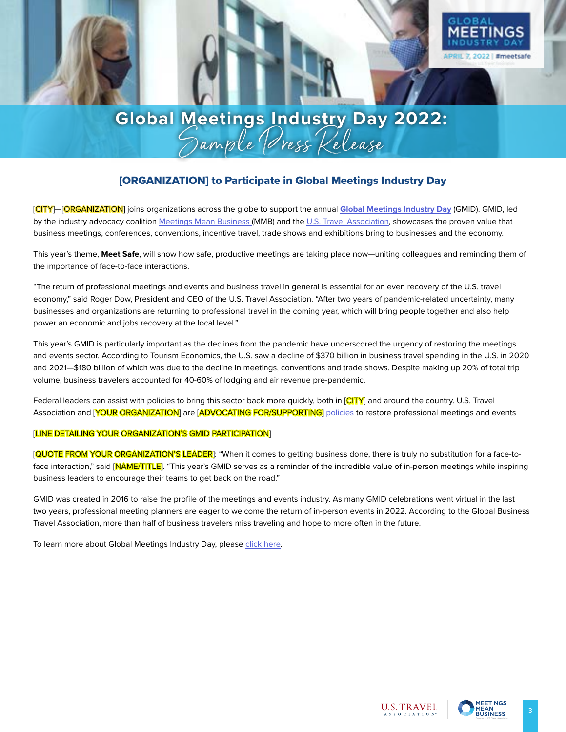

# [ORGANIZATION] to Participate in Global Meetings Industry Day

[CITY]—[ORGANIZATION] joins organizations across the globe to support the annual **[Global Meetings Industry Day](https://www.meetingsmeanbusiness.com/gmid-2022)** (GMID). GMID, led by the industry advocacy coalition [Meetings Mean Business \(](https://www.meetingsmeanbusiness.com/gmid-2022)MMB) and the [U.S. Travel Association,](https://www.ustravel.org/events/global-meetings-industry-day) showcases the proven value that business meetings, conferences, conventions, incentive travel, trade shows and exhibitions bring to businesses and the economy.

This year's theme, **Meet Safe**, will show how safe, productive meetings are taking place now—uniting colleagues and reminding them of the importance of face-to-face interactions.

"The return of professional meetings and events and business travel in general is essential for an even recovery of the U.S. travel economy," said Roger Dow, President and CEO of the U.S. Travel Association. "After two years of pandemic-related uncertainty, many businesses and organizations are returning to professional travel in the coming year, which will bring people together and also help power an economic and jobs recovery at the local level."

This year's GMID is particularly important as the declines from the pandemic have underscored the urgency of restoring the meetings and events sector. According to Tourism Economics, the U.S. saw a decline of \$370 billion in business travel spending in the U.S. in 2020 and 2021—\$180 billion of which was due to the decline in meetings, conventions and trade shows. Despite making up 20% of total trip volume, business travelers accounted for 40-60% of lodging and air revenue pre-pandemic.

Federal leaders can assist with policies to bring this sector back more quickly, both in [CITY] and around the country. U.S. Travel Association and [YOUR ORGANIZATION] are [ADVOCATING FOR/SUPPORTING] [policies](https://www.ustravel.org/sites/default/files/2022-01/PoliciestoRestoretheTravelEconomy_0.pdf) to restore professional meetings and events

#### [LINE DETAILING YOUR ORGANIZATION'S GMID PARTICIPATION]

[QUOTE FROM YOUR ORGANIZATION'S LEADER]: "When it comes to getting business done, there is truly no substitution for a face-toface interaction," said [NAME/TITLE]. "This year's GMID serves as a reminder of the incredible value of in-person meetings while inspiring business leaders to encourage their teams to get back on the road."

GMID was created in 2016 to raise the profile of the meetings and events industry. As many GMID celebrations went virtual in the last two years, professional meeting planners are eager to welcome the return of in-person events in 2022. According to the Global Business Travel Association, more than half of business travelers miss traveling and hope to more often in the future.

To learn more about Global Meetings Industry Day, please [click here.](https://www.meetingsmeanbusiness.com/gmid-2022)